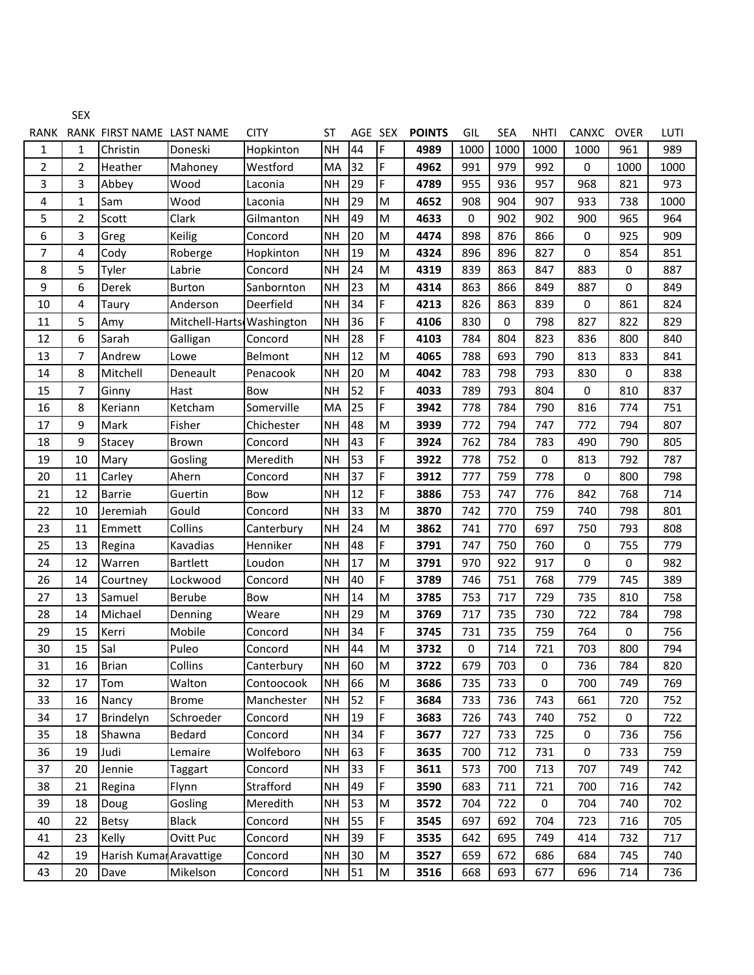|                | <b>SEX</b>              |                           |                           |                |           |         |    |               |      |            |             |              |             |      |
|----------------|-------------------------|---------------------------|---------------------------|----------------|-----------|---------|----|---------------|------|------------|-------------|--------------|-------------|------|
| RANK           |                         | RANK FIRST NAME LAST NAME |                           | <b>CITY</b>    | ST        | AGE SEX |    | <b>POINTS</b> | GIL  | <b>SEA</b> | <b>NHTI</b> | <b>CANXC</b> | <b>OVER</b> | LUTI |
| $\mathbf{1}$   | 1                       | Christin                  | Doneski                   | Hopkinton      | <b>NH</b> | 44      | F  | 4989          | 1000 | 1000       | 1000        | 1000         | 961         | 989  |
| $\overline{2}$ | 2                       | Heather                   | Mahoney                   | Westford       | MA        | 32      | F  | 4962          | 991  | 979        | 992         | 0            | 1000        | 1000 |
| 3              | 3                       | Abbey                     | Wood                      | Laconia        | <b>NH</b> | 29      | F  | 4789          | 955  | 936        | 957         | 968          | 821         | 973  |
| 4              | $\mathbf{1}$            | Sam                       | Wood                      | Laconia        | <b>NH</b> | 29      | M  | 4652          | 908  | 904        | 907         | 933          | 738         | 1000 |
| 5              | $\overline{\mathbf{c}}$ | Scott                     | Clark                     | Gilmanton      | <b>NH</b> | 49      | M  | 4633          | 0    | 902        | 902         | 900          | 965         | 964  |
| 6              | 3                       | Greg                      | Keilig                    | Concord        | <b>NH</b> | 20      | M  | 4474          | 898  | 876        | 866         | $\mathbf 0$  | 925         | 909  |
| 7              | 4                       | Cody                      | Roberge                   | Hopkinton      | <b>NH</b> | 19      | M  | 4324          | 896  | 896        | 827         | 0            | 854         | 851  |
| 8              | 5                       | Tyler                     | Labrie                    | Concord        | <b>NH</b> | 24      | M  | 4319          | 839  | 863        | 847         | 883          | 0           | 887  |
| 9              | 6                       | Derek                     | <b>Burton</b>             | Sanbornton     | <b>NH</b> | 23      | M  | 4314          | 863  | 866        | 849         | 887          | 0           | 849  |
| 10             | 4                       | Taury                     | Anderson                  | Deerfield      | <b>NH</b> | 34      | F. | 4213          | 826  | 863        | 839         | 0            | 861         | 824  |
| 11             | 5                       | Amy                       | Mitchell-Harts Washington |                | <b>NH</b> | 36      | F. | 4106          | 830  | 0          | 798         | 827          | 822         | 829  |
| 12             | 6                       | Sarah                     | Galligan                  | Concord        | <b>NH</b> | 28      | F. | 4103          | 784  | 804        | 823         | 836          | 800         | 840  |
| 13             | 7                       | Andrew                    | Lowe                      | <b>Belmont</b> | <b>NH</b> | 12      | M  | 4065          | 788  | 693        | 790         | 813          | 833         | 841  |
| 14             | 8                       | Mitchell                  | Deneault                  | Penacook       | <b>NH</b> | 20      | M  | 4042          | 783  | 798        | 793         | 830          | 0           | 838  |
| 15             | 7                       | Ginny                     | Hast                      | <b>Bow</b>     | <b>NH</b> | 52      | F. | 4033          | 789  | 793        | 804         | 0            | 810         | 837  |
| 16             | 8                       | Keriann                   | Ketcham                   | Somerville     | MA        | 25      | F. | 3942          | 778  | 784        | 790         | 816          | 774         | 751  |
| 17             | 9                       | Mark                      | Fisher                    | Chichester     | <b>NH</b> | 48      | M  | 3939          | 772  | 794        | 747         | 772          | 794         | 807  |
| 18             | 9                       | Stacey                    | Brown                     | Concord        | <b>NH</b> | 43      | F. | 3924          | 762  | 784        | 783         | 490          | 790         | 805  |
| 19             | 10                      | Mary                      | Gosling                   | Meredith       | <b>NH</b> | 53      | F  | 3922          | 778  | 752        | 0           | 813          | 792         | 787  |
| 20             | 11                      | Carley                    | Ahern                     | Concord        | <b>NH</b> | 37      | F  | 3912          | 777  | 759        | 778         | 0            | 800         | 798  |
| 21             | 12                      | <b>Barrie</b>             | Guertin                   | Bow            | <b>NH</b> | 12      | F. | 3886          | 753  | 747        | 776         | 842          | 768         | 714  |
| 22             | 10                      | Jeremiah                  | Gould                     | Concord        | <b>NH</b> | 33      | M  | 3870          | 742  | 770        | 759         | 740          | 798         | 801  |
| 23             | 11                      | Emmett                    | Collins                   | Canterbury     | <b>NH</b> | 24      | M  | 3862          | 741  | 770        | 697         | 750          | 793         | 808  |
| 25             | 13                      | Regina                    | Kavadias                  | Henniker       | <b>NH</b> | 48      | F. | 3791          | 747  | 750        | 760         | $\pmb{0}$    | 755         | 779  |
| 24             | 12                      | Warren                    | <b>Bartlett</b>           | Loudon         | <b>NH</b> | 17      | M  | 3791          | 970  | 922        | 917         | 0            | 0           | 982  |
| 26             | 14                      | Courtney                  | Lockwood                  | Concord        | <b>NH</b> | 40      | F  | 3789          | 746  | 751        | 768         | 779          | 745         | 389  |
| 27             | 13                      | Samuel                    | <b>Berube</b>             | <b>Bow</b>     | <b>NH</b> | 14      | M  | 3785          | 753  | 717        | 729         | 735          | 810         | 758  |
| 28             | 14                      | Michael                   | Denning                   | Weare          | <b>NH</b> | 29      | M  | 3769          | 717  | 735        | 730         | 722          | 784         | 798  |
| 29             | 15                      | Kerri                     | Mobile                    | Concord        | <b>NH</b> | 34      | F  | 3745          | 731  | 735        | 759         | 764          | 0           | 756  |
| 30             | 15                      | Sal                       | Puleo                     | Concord        | <b>NH</b> | 44      | M  | 3732          | 0    | 714        | 721         | 703          | 800         | 794  |
| 31             | 16                      | Brian                     | Collins                   | Canterbury     | <b>NH</b> | 60      | lм | 3722          | 679  | 703        | 0           | 736          | 784         | 820  |
| 32             | 17                      | Tom                       | Walton                    | Contoocook     | <b>NH</b> | 66      | M  | 3686          | 735  | 733        | 0           | 700          | 749         | 769  |
| 33             | 16                      | Nancy                     | <b>Brome</b>              | Manchester     | <b>NH</b> | 52      | F  | 3684          | 733  | 736        | 743         | 661          | 720         | 752  |
| 34             | 17                      | Brindelyn                 | Schroeder                 | Concord        | <b>NH</b> | 19      | F  | 3683          | 726  | 743        | 740         | 752          | 0           | 722  |
| 35             | 18                      | Shawna                    | Bedard                    | Concord        | <b>NH</b> | 34      | F  | 3677          | 727  | 733        | 725         | 0            | 736         | 756  |
| 36             | 19                      | Judi                      | Lemaire                   | Wolfeboro      | <b>NH</b> | 63      | F  | 3635          | 700  | 712        | 731         | 0            | 733         | 759  |
| 37             | 20                      | Jennie                    | Taggart                   | Concord        | <b>NH</b> | 33      | F  | 3611          | 573  | 700        | 713         | 707          | 749         | 742  |
| 38             | 21                      | Regina                    | Flynn                     | Strafford      | <b>NH</b> | 49      | F  | 3590          | 683  | 711        | 721         | 700          | 716         | 742  |
| 39             | 18                      | Doug                      | Gosling                   | Meredith       | <b>NH</b> | 53      | M  | 3572          | 704  | 722        | 0           | 704          | 740         | 702  |
| 40             | 22                      | Betsy                     | <b>Black</b>              | Concord        | <b>NH</b> | 55      | F  | 3545          | 697  | 692        | 704         | 723          | 716         | 705  |
| 41             | 23                      | Kelly                     | Ovitt Puc                 | Concord        | <b>NH</b> | 39      | F  | 3535          | 642  | 695        | 749         | 414          | 732         | 717  |
| 42             | 19                      | Harish Kumar Aravattige   |                           | Concord        | <b>NH</b> | 30      | M  | 3527          | 659  | 672        | 686         | 684          | 745         | 740  |
| 43             | 20                      | Dave                      | Mikelson                  | Concord        | <b>NH</b> | 51      | M  | 3516          | 668  | 693        | 677         | 696          | 714         | 736  |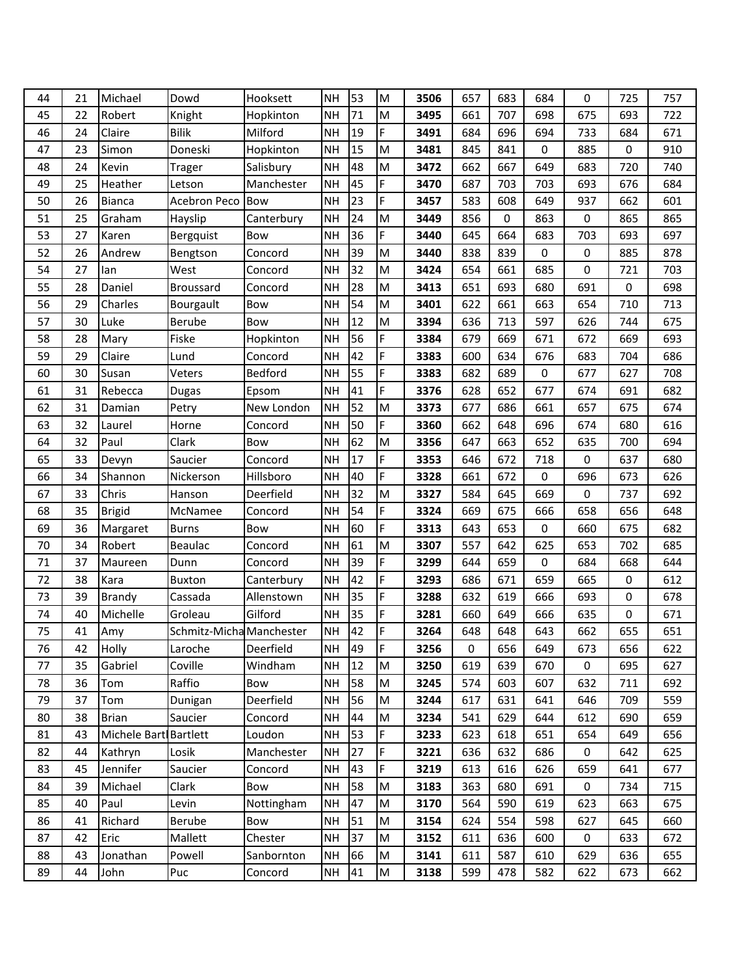| 44 | 21 | Michael               | Dowd                     | Hooksett   | <b>NH</b> | 53 | M  | 3506 | 657         | 683 | 684 | 0           | 725 | 757 |
|----|----|-----------------------|--------------------------|------------|-----------|----|----|------|-------------|-----|-----|-------------|-----|-----|
| 45 | 22 | Robert                | Knight                   | Hopkinton  | <b>NH</b> | 71 | M  | 3495 | 661         | 707 | 698 | 675         | 693 | 722 |
| 46 | 24 | Claire                | <b>Bilik</b>             | Milford    | <b>NH</b> | 19 | F  | 3491 | 684         | 696 | 694 | 733         | 684 | 671 |
| 47 | 23 | Simon                 | Doneski                  | Hopkinton  | <b>NH</b> | 15 | M  | 3481 | 845         | 841 | 0   | 885         | 0   | 910 |
| 48 | 24 | Kevin                 | <b>Trager</b>            | Salisbury  | <b>NH</b> | 48 | M  | 3472 | 662         | 667 | 649 | 683         | 720 | 740 |
| 49 | 25 | Heather               | Letson                   | Manchester | <b>NH</b> | 45 | F  | 3470 | 687         | 703 | 703 | 693         | 676 | 684 |
| 50 | 26 | Bianca                | Acebron Peco             | <b>Bow</b> | <b>NH</b> | 23 | F  | 3457 | 583         | 608 | 649 | 937         | 662 | 601 |
| 51 | 25 | Graham                | Hayslip                  | Canterbury | <b>NH</b> | 24 | M  | 3449 | 856         | 0   | 863 | $\mathbf 0$ | 865 | 865 |
| 53 | 27 | Karen                 | Bergquist                | Bow        | <b>NH</b> | 36 | F  | 3440 | 645         | 664 | 683 | 703         | 693 | 697 |
| 52 | 26 | Andrew                | Bengtson                 | Concord    | <b>NH</b> | 39 | M  | 3440 | 838         | 839 | 0   | 0           | 885 | 878 |
| 54 | 27 | lan                   | West                     | Concord    | <b>NH</b> | 32 | M  | 3424 | 654         | 661 | 685 | $\mathbf 0$ | 721 | 703 |
| 55 | 28 | Daniel                | <b>Broussard</b>         | Concord    | <b>NH</b> | 28 | M  | 3413 | 651         | 693 | 680 | 691         | 0   | 698 |
| 56 | 29 | Charles               | Bourgault                | Bow        | <b>NH</b> | 54 | M  | 3401 | 622         | 661 | 663 | 654         | 710 | 713 |
| 57 | 30 | Luke                  | Berube                   | <b>Bow</b> | <b>NH</b> | 12 | M  | 3394 | 636         | 713 | 597 | 626         | 744 | 675 |
| 58 | 28 | Mary                  | Fiske                    | Hopkinton  | <b>NH</b> | 56 | F  | 3384 | 679         | 669 | 671 | 672         | 669 | 693 |
| 59 | 29 | Claire                | Lund                     | Concord    | <b>NH</b> | 42 | F  | 3383 | 600         | 634 | 676 | 683         | 704 | 686 |
| 60 | 30 | Susan                 | Veters                   | Bedford    | <b>NH</b> | 55 | F  | 3383 | 682         | 689 | 0   | 677         | 627 | 708 |
| 61 | 31 | Rebecca               | <b>Dugas</b>             | Epsom      | <b>NH</b> | 41 | F  | 3376 | 628         | 652 | 677 | 674         | 691 | 682 |
| 62 | 31 | Damian                | Petry                    | New London | <b>NH</b> | 52 | M  | 3373 | 677         | 686 | 661 | 657         | 675 | 674 |
| 63 | 32 | Laurel                | Horne                    | Concord    | <b>NH</b> | 50 | F. | 3360 | 662         | 648 | 696 | 674         | 680 | 616 |
| 64 | 32 | Paul                  | Clark                    | Bow        | <b>NH</b> | 62 | M  | 3356 | 647         | 663 | 652 | 635         | 700 | 694 |
| 65 | 33 | Devyn                 | Saucier                  | Concord    | <b>NH</b> | 17 | F  | 3353 | 646         | 672 | 718 | 0           | 637 | 680 |
| 66 | 34 | Shannon               | Nickerson                | Hillsboro  | <b>NH</b> | 40 | F  | 3328 | 661         | 672 | 0   | 696         | 673 | 626 |
| 67 | 33 | Chris                 | Hanson                   | Deerfield  | <b>NH</b> | 32 | M  | 3327 | 584         | 645 | 669 | $\mathbf 0$ | 737 | 692 |
| 68 | 35 | <b>Brigid</b>         | McNamee                  | Concord    | <b>NH</b> | 54 | F  | 3324 | 669         | 675 | 666 | 658         | 656 | 648 |
| 69 | 36 | Margaret              | <b>Burns</b>             | Bow        | <b>NH</b> | 60 | F  | 3313 | 643         | 653 | 0   | 660         | 675 | 682 |
| 70 | 34 | Robert                | Beaulac                  | Concord    | <b>NH</b> | 61 | M  | 3307 | 557         | 642 | 625 | 653         | 702 | 685 |
| 71 | 37 | Maureen               | Dunn                     | Concord    | <b>NH</b> | 39 | F  | 3299 | 644         | 659 | 0   | 684         | 668 | 644 |
| 72 | 38 | Kara                  | <b>Buxton</b>            | Canterbury | NH        | 42 | F  | 3293 | 686         | 671 | 659 | 665         | 0   | 612 |
| 73 | 39 | <b>Brandy</b>         | Cassada                  | Allenstown | <b>NH</b> | 35 | F  | 3288 | 632         | 619 | 666 | 693         | 0   | 678 |
| 74 | 40 | Michelle              | Groleau                  | Gilford    | <b>NH</b> | 35 | F  | 3281 | 660         | 649 | 666 | 635         | 0   | 671 |
| 75 | 41 | Amy                   | Schmitz-Micha Manchester |            | <b>NH</b> | 42 | F  | 3264 | 648         | 648 | 643 | 662         | 655 | 651 |
| 76 | 42 | Holly                 | Laroche                  | Deerfield  | <b>NH</b> | 49 | F  | 3256 | $\mathbf 0$ | 656 | 649 | 673         | 656 | 622 |
| 77 | 35 | Gabriel               | Coville                  | Windham    | <b>NH</b> | 12 | M  | 3250 | 619         | 639 | 670 | 0           | 695 | 627 |
| 78 | 36 | Tom                   | Raffio                   | Bow        | <b>NH</b> | 58 | M  | 3245 | 574         | 603 | 607 | 632         | 711 | 692 |
| 79 | 37 | Tom                   | Dunigan                  | Deerfield  | <b>NH</b> | 56 | M  | 3244 | 617         | 631 | 641 | 646         | 709 | 559 |
| 80 | 38 | <b>Brian</b>          | Saucier                  | Concord    | <b>NH</b> | 44 | M  | 3234 | 541         | 629 | 644 | 612         | 690 | 659 |
| 81 | 43 | Michele Bart Bartlett |                          | Loudon     | <b>NH</b> | 53 | F  | 3233 | 623         | 618 | 651 | 654         | 649 | 656 |
| 82 | 44 | Kathryn               | Losik                    | Manchester | <b>NH</b> | 27 | F  | 3221 | 636         | 632 | 686 | $\pmb{0}$   | 642 | 625 |
| 83 | 45 | Jennifer              | Saucier                  | Concord    | <b>NH</b> | 43 | F  | 3219 | 613         | 616 | 626 | 659         | 641 | 677 |
| 84 | 39 | Michael               | Clark                    | Bow        | <b>NH</b> | 58 | M  | 3183 | 363         | 680 | 691 | $\pmb{0}$   | 734 | 715 |
| 85 | 40 | Paul                  | Levin                    | Nottingham | <b>NH</b> | 47 | M  | 3170 | 564         | 590 | 619 | 623         | 663 | 675 |
| 86 | 41 | Richard               | Berube                   | Bow        | <b>NH</b> | 51 | M  | 3154 | 624         | 554 | 598 | 627         | 645 | 660 |
| 87 | 42 | Eric                  | Mallett                  | Chester    | <b>NH</b> | 37 | M  | 3152 | 611         | 636 | 600 | 0           | 633 | 672 |
| 88 | 43 | Jonathan              | Powell                   | Sanbornton | <b>NH</b> | 66 | M  | 3141 | 611         | 587 | 610 | 629         | 636 | 655 |
| 89 | 44 | John                  | Puc                      | Concord    | <b>NH</b> | 41 | M  | 3138 | 599         | 478 | 582 | 622         | 673 | 662 |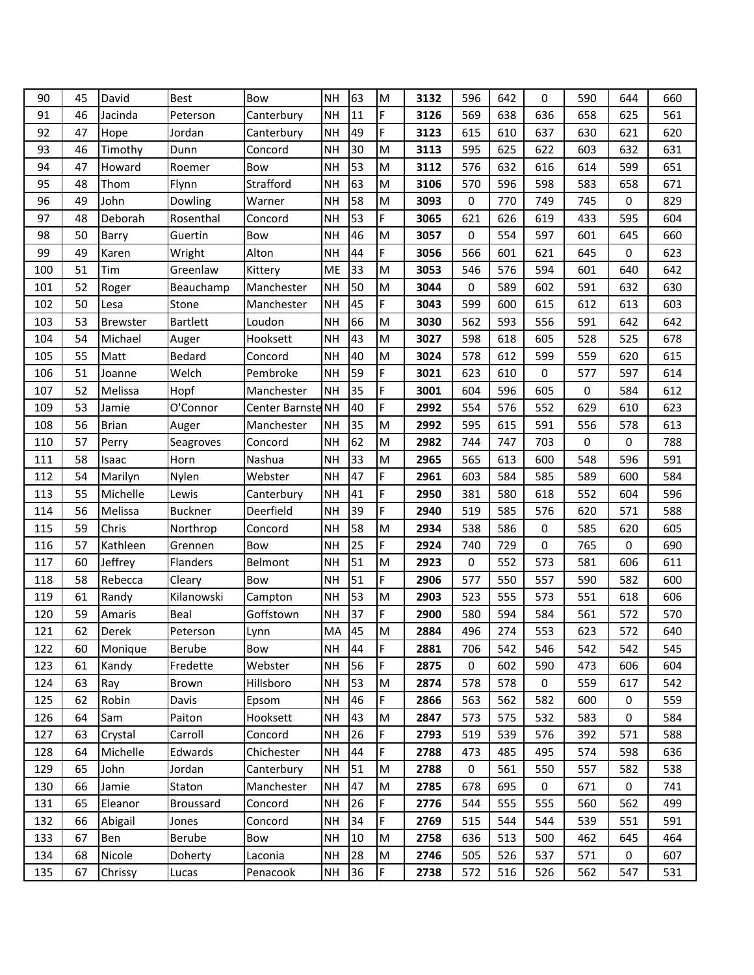| 90  | 45 | David           | <b>Best</b>      | <b>Bow</b>        | <b>NH</b> | 63 | M  | 3132 | 596         | 642 | 0           | 590 | 644 | 660 |
|-----|----|-----------------|------------------|-------------------|-----------|----|----|------|-------------|-----|-------------|-----|-----|-----|
| 91  | 46 | Jacinda         | Peterson         | Canterbury        | <b>NH</b> | 11 | F  | 3126 | 569         | 638 | 636         | 658 | 625 | 561 |
| 92  | 47 | Hope            | Jordan           | Canterbury        | <b>NH</b> | 49 | F  | 3123 | 615         | 610 | 637         | 630 | 621 | 620 |
| 93  | 46 | Timothy         | Dunn             | Concord           | <b>NH</b> | 30 | M  | 3113 | 595         | 625 | 622         | 603 | 632 | 631 |
| 94  | 47 | Howard          | Roemer           | Bow               | <b>NH</b> | 53 | M  | 3112 | 576         | 632 | 616         | 614 | 599 | 651 |
| 95  | 48 | Thom            | Flynn            | Strafford         | <b>NH</b> | 63 | M  | 3106 | 570         | 596 | 598         | 583 | 658 | 671 |
| 96  | 49 | John            | Dowling          | Warner            | <b>NH</b> | 58 | M  | 3093 | 0           | 770 | 749         | 745 | 0   | 829 |
| 97  | 48 | Deborah         | Rosenthal        | Concord           | <b>NH</b> | 53 | F  | 3065 | 621         | 626 | 619         | 433 | 595 | 604 |
| 98  | 50 | Barry           | Guertin          | Bow               | <b>NH</b> | 46 | M  | 3057 | $\mathbf 0$ | 554 | 597         | 601 | 645 | 660 |
| 99  | 49 | Karen           | Wright           | Alton             | <b>NH</b> | 44 | F. | 3056 | 566         | 601 | 621         | 645 | 0   | 623 |
| 100 | 51 | Tim             | Greenlaw         | Kittery           | ME        | 33 | M  | 3053 | 546         | 576 | 594         | 601 | 640 | 642 |
| 101 | 52 | Roger           | Beauchamp        | Manchester        | <b>NH</b> | 50 | M  | 3044 | $\mathbf 0$ | 589 | 602         | 591 | 632 | 630 |
| 102 | 50 | Lesa            | Stone            | Manchester        | <b>NH</b> | 45 | F. | 3043 | 599         | 600 | 615         | 612 | 613 | 603 |
| 103 | 53 | <b>Brewster</b> | <b>Bartlett</b>  | Loudon            | <b>NH</b> | 66 | M  | 3030 | 562         | 593 | 556         | 591 | 642 | 642 |
| 104 | 54 | Michael         | Auger            | Hooksett          | <b>NH</b> | 43 | M  | 3027 | 598         | 618 | 605         | 528 | 525 | 678 |
| 105 | 55 | Matt            | Bedard           | Concord           | <b>NH</b> | 40 | M  | 3024 | 578         | 612 | 599         | 559 | 620 | 615 |
| 106 | 51 | Joanne          | Welch            | Pembroke          | <b>NH</b> | 59 | F  | 3021 | 623         | 610 | $\mathbf 0$ | 577 | 597 | 614 |
| 107 | 52 | Melissa         | Hopf             | Manchester        | <b>NH</b> | 35 | F  | 3001 | 604         | 596 | 605         | 0   | 584 | 612 |
| 109 | 53 | Jamie           | O'Connor         | Center Barnste NH |           | 40 | F  | 2992 | 554         | 576 | 552         | 629 | 610 | 623 |
| 108 | 56 | <b>Brian</b>    | Auger            | Manchester        | <b>NH</b> | 35 | M  | 2992 | 595         | 615 | 591         | 556 | 578 | 613 |
| 110 | 57 | Perry           | Seagroves        | Concord           | <b>NH</b> | 62 | M  | 2982 | 744         | 747 | 703         | 0   | 0   | 788 |
| 111 | 58 | Isaac           | Horn             | Nashua            | <b>NH</b> | 33 | M  | 2965 | 565         | 613 | 600         | 548 | 596 | 591 |
| 112 | 54 | Marilyn         | Nylen            | Webster           | <b>NH</b> | 47 | F. | 2961 | 603         | 584 | 585         | 589 | 600 | 584 |
| 113 | 55 | Michelle        | Lewis            | Canterbury        | <b>NH</b> | 41 | F  | 2950 | 381         | 580 | 618         | 552 | 604 | 596 |
| 114 | 56 | Melissa         | <b>Buckner</b>   | Deerfield         | <b>NH</b> | 39 | F  | 2940 | 519         | 585 | 576         | 620 | 571 | 588 |
| 115 | 59 | Chris           | Northrop         | Concord           | <b>NH</b> | 58 | M  | 2934 | 538         | 586 | 0           | 585 | 620 | 605 |
| 116 | 57 | Kathleen        | Grennen          | Bow               | <b>NH</b> | 25 | F  | 2924 | 740         | 729 | 0           | 765 | 0   | 690 |
| 117 | 60 | Jeffrey         | <b>Flanders</b>  | Belmont           | <b>NH</b> | 51 | M  | 2923 | 0           | 552 | 573         | 581 | 606 | 611 |
| 118 | 58 | Rebecca         | Cleary           | Bow               | <b>NH</b> | 51 | F  | 2906 | 577         | 550 | 557         | 590 | 582 | 600 |
| 119 | 61 | Randy           | Kilanowski       | Campton           | <b>NH</b> | 53 | M  | 2903 | 523         | 555 | 573         | 551 | 618 | 606 |
| 120 | 59 | Amaris          | Beal             | Goffstown         | <b>NH</b> | 37 | F  | 2900 | 580         | 594 | 584         | 561 | 572 | 570 |
| 121 | 62 | Derek           | Peterson         | Lynn              | MA        | 45 | M  | 2884 | 496         | 274 | 553         | 623 | 572 | 640 |
| 122 | 60 | Monique         | Berube           | Bow               | <b>NH</b> | 44 | F  | 2881 | 706         | 542 | 546         | 542 | 542 | 545 |
| 123 | 61 | Kandy           | Fredette         | Webster           | <b>NH</b> | 56 | F  | 2875 | 0           | 602 | 590         | 473 | 606 | 604 |
| 124 | 63 | Ray             | Brown            | Hillsboro         | <b>NH</b> | 53 | M  | 2874 | 578         | 578 | 0           | 559 | 617 | 542 |
| 125 | 62 | Robin           | Davis            | Epsom             | <b>NH</b> | 46 | F  | 2866 | 563         | 562 | 582         | 600 | 0   | 559 |
| 126 | 64 | Sam             | Paiton           | Hooksett          | <b>NH</b> | 43 | M  | 2847 | 573         | 575 | 532         | 583 | 0   | 584 |
| 127 | 63 | Crystal         | Carroll          | Concord           | <b>NH</b> | 26 | F  | 2793 | 519         | 539 | 576         | 392 | 571 | 588 |
| 128 | 64 | Michelle        | Edwards          | Chichester        | <b>NH</b> | 44 | F  | 2788 | 473         | 485 | 495         | 574 | 598 | 636 |
| 129 | 65 | John            | Jordan           | Canterbury        | <b>NH</b> | 51 | M  | 2788 | 0           | 561 | 550         | 557 | 582 | 538 |
| 130 | 66 | Jamie           | Staton           | Manchester        | <b>NH</b> | 47 | M  | 2785 | 678         | 695 | 0           | 671 | 0   | 741 |
| 131 | 65 | Eleanor         | <b>Broussard</b> | Concord           | <b>NH</b> | 26 | F  | 2776 | 544         | 555 | 555         | 560 | 562 | 499 |
| 132 | 66 | Abigail         | Jones            | Concord           | <b>NH</b> | 34 | F. | 2769 | 515         | 544 | 544         | 539 | 551 | 591 |
| 133 | 67 | Ben             | Berube           | Bow               | <b>NH</b> | 10 | M  | 2758 | 636         | 513 | 500         | 462 | 645 | 464 |
| 134 | 68 | Nicole          | Doherty          | Laconia           | <b>NH</b> | 28 | M  | 2746 | 505         | 526 | 537         | 571 | 0   | 607 |
| 135 | 67 | Chrissy         | Lucas            | Penacook          | <b>NH</b> | 36 | F  | 2738 | 572         | 516 | 526         | 562 | 547 | 531 |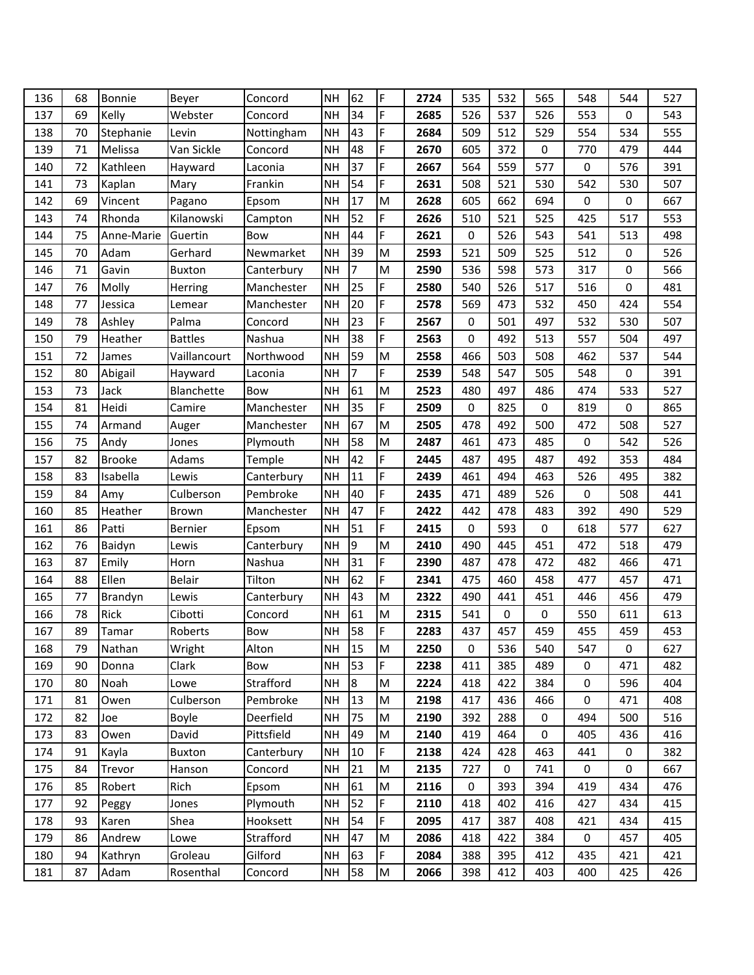| 136 | 68 | Bonnie        | Beyer          | Concord    | <b>NH</b> | 62             | F | 2724 | 535         | 532 | 565 | 548         | 544              | 527 |
|-----|----|---------------|----------------|------------|-----------|----------------|---|------|-------------|-----|-----|-------------|------------------|-----|
| 137 | 69 | Kelly         | Webster        | Concord    | NH        | 34             | F | 2685 | 526         | 537 | 526 | 553         | 0                | 543 |
| 138 | 70 | Stephanie     | Levin          | Nottingham | <b>NH</b> | 43             | F | 2684 | 509         | 512 | 529 | 554         | 534              | 555 |
| 139 | 71 | Melissa       | Van Sickle     | Concord    | <b>NH</b> | 48             | F | 2670 | 605         | 372 | 0   | 770         | 479              | 444 |
| 140 | 72 | Kathleen      | Hayward        | Laconia    | NH        | 37             | F | 2667 | 564         | 559 | 577 | $\mathbf 0$ | 576              | 391 |
| 141 | 73 | Kaplan        | Mary           | Frankin    | <b>NH</b> | 54             | F | 2631 | 508         | 521 | 530 | 542         | 530              | 507 |
| 142 | 69 | Vincent       | Pagano         | Epsom      | <b>NH</b> | 17             | M | 2628 | 605         | 662 | 694 | 0           | 0                | 667 |
| 143 | 74 | Rhonda        | Kilanowski     | Campton    | NH        | 52             | F | 2626 | 510         | 521 | 525 | 425         | 517              | 553 |
| 144 | 75 | Anne-Marie    | Guertin        | Bow        | NH        | 44             | F | 2621 | 0           | 526 | 543 | 541         | 513              | 498 |
| 145 | 70 | Adam          | Gerhard        | Newmarket  | <b>NH</b> | 39             | M | 2593 | 521         | 509 | 525 | 512         | 0                | 526 |
| 146 | 71 | Gavin         | <b>Buxton</b>  | Canterbury | NH        | $\overline{7}$ | M | 2590 | 536         | 598 | 573 | 317         | $\Omega$         | 566 |
| 147 | 76 | Molly         | Herring        | Manchester | NH        | 25             | F | 2580 | 540         | 526 | 517 | 516         | 0                | 481 |
| 148 | 77 | Jessica       | Lemear         | Manchester | <b>NH</b> | 20             | F | 2578 | 569         | 473 | 532 | 450         | 424              | 554 |
| 149 | 78 | Ashley        | Palma          | Concord    | NH        | 23             | F | 2567 | $\mathbf 0$ | 501 | 497 | 532         | 530              | 507 |
| 150 | 79 | Heather       | <b>Battles</b> | Nashua     | <b>NH</b> | 38             | F | 2563 | 0           | 492 | 513 | 557         | 504              | 497 |
| 151 | 72 | James         | Vaillancourt   | Northwood  | <b>NH</b> | 59             | M | 2558 | 466         | 503 | 508 | 462         | 537              | 544 |
| 152 | 80 | Abigail       | Hayward        | Laconia    | NH        | $\overline{7}$ | F | 2539 | 548         | 547 | 505 | 548         | 0                | 391 |
| 153 | 73 | Jack          | Blanchette     | Bow        | NH        | 61             | M | 2523 | 480         | 497 | 486 | 474         | 533              | 527 |
| 154 | 81 | Heidi         | Camire         | Manchester | <b>NH</b> | 35             | F | 2509 | 0           | 825 | 0   | 819         | 0                | 865 |
| 155 | 74 | Armand        | Auger          | Manchester | NH        | 67             | M | 2505 | 478         | 492 | 500 | 472         | 508              | 527 |
| 156 | 75 | Andy          | Jones          | Plymouth   | <b>NH</b> | 58             | M | 2487 | 461         | 473 | 485 | 0           | 542              | 526 |
| 157 | 82 | <b>Brooke</b> | Adams          | Temple     | NH        | 42             | F | 2445 | 487         | 495 | 487 | 492         | 353              | 484 |
| 158 | 83 | Isabella      | Lewis          | Canterbury | NH        | 11             | F | 2439 | 461         | 494 | 463 | 526         | 495              | 382 |
| 159 | 84 | Amy           | Culberson      | Pembroke   | <b>NH</b> | 40             | F | 2435 | 471         | 489 | 526 | $\mathbf 0$ | 508              | 441 |
| 160 | 85 | Heather       | Brown          | Manchester | <b>NH</b> | 47             | F | 2422 | 442         | 478 | 483 | 392         | 490              | 529 |
| 161 | 86 | Patti         | Bernier        | Epsom      | <b>NH</b> | 51             | F | 2415 | 0           | 593 | 0   | 618         | 577              | 627 |
| 162 | 76 | Baidyn        | Lewis          | Canterbury | <b>NH</b> | $\overline{9}$ | M | 2410 | 490         | 445 | 451 | 472         | 518              | 479 |
| 163 | 87 | Emily         | Horn           | Nashua     | NH        | 31             | F | 2390 | 487         | 478 | 472 | 482         | 466              | 471 |
| 164 | 88 | Ellen         | Belair         | Tilton     | <b>NH</b> | 62             | F | 2341 | 475         | 460 | 458 | 477         | 457              | 471 |
| 165 | 77 | Brandyn       | Lewis          | Canterbury | <b>NH</b> | 43             | M | 2322 | 490         | 441 | 451 | 446         | 456              | 479 |
| 166 | 78 | Rick          | Cibotti        | Concord    | <b>NH</b> | 61             | M | 2315 | 541         | 0   | 0   | 550         | 611              | 613 |
| 167 | 89 | Tamar         | Roberts        | Bow        | <b>NH</b> | 58             | F | 2283 | 437         | 457 | 459 | 455         | 459              | 453 |
| 168 | 79 | Nathan        | Wright         | Alton      | <b>NH</b> | 15             | M | 2250 | 0           | 536 | 540 | 547         | 0                | 627 |
| 169 | 90 | Donna         | Clark          | Bow        | <b>NH</b> | 53             | F | 2238 | 411         | 385 | 489 | 0           | 471              | 482 |
| 170 | 80 | Noah          | Lowe           | Strafford  | <b>NH</b> | $8\,$          | M | 2224 | 418         | 422 | 384 | $\mathbf 0$ | 596              | 404 |
| 171 | 81 | Owen          | Culberson      | Pembroke   | NH        | 13             | M | 2198 | 417         | 436 | 466 | 0           | 471              | 408 |
| 172 | 82 | Joe           | Boyle          | Deerfield  | <b>NH</b> | 75             | M | 2190 | 392         | 288 | 0   | 494         | 500              | 516 |
| 173 | 83 | Owen          | David          | Pittsfield | NH        | 49             | M | 2140 | 419         | 464 | 0   | 405         | 436              | 416 |
| 174 | 91 | Kayla         | Buxton         | Canterbury | NH        | 10             | F | 2138 | 424         | 428 | 463 | 441         | $\boldsymbol{0}$ | 382 |
| 175 | 84 | Trevor        | Hanson         | Concord    | <b>NH</b> | 21             | M | 2135 | 727         | 0   | 741 | 0           | 0                | 667 |
| 176 | 85 | Robert        | Rich           | Epsom      | NH        | 61             | M | 2116 | 0           | 393 | 394 | 419         | 434              | 476 |
| 177 | 92 | Peggy         | Jones          | Plymouth   | <b>NH</b> | 52             | F | 2110 | 418         | 402 | 416 | 427         | 434              | 415 |
| 178 | 93 | Karen         | Shea           | Hooksett   | <b>NH</b> | 54             | F | 2095 | 417         | 387 | 408 | 421         | 434              | 415 |
| 179 | 86 | Andrew        | Lowe           | Strafford  | <b>NH</b> | 47             | M | 2086 | 418         | 422 | 384 | $\pmb{0}$   | 457              | 405 |
| 180 | 94 | Kathryn       | Groleau        | Gilford    | <b>NH</b> | 63             | F | 2084 | 388         | 395 | 412 | 435         | 421              | 421 |
| 181 | 87 | Adam          | Rosenthal      | Concord    | <b>NH</b> | 58             | M | 2066 | 398         | 412 | 403 | 400         | 425              | 426 |